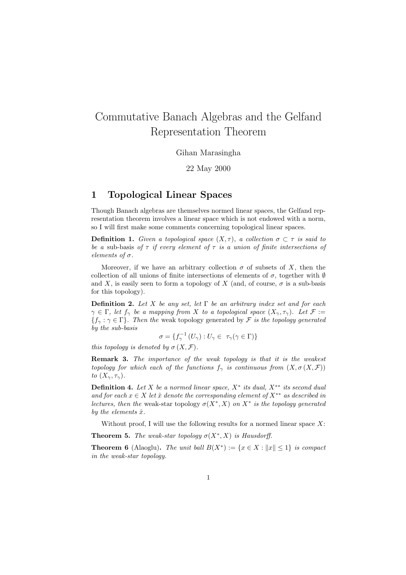# Commutative Banach Algebras and the Gelfand Representation Theorem

Gihan Marasingha

22 May 2000

# 1 Topological Linear Spaces

Though Banach algebras are themselves normed linear spaces, the Gelfand representation theorem involves a linear space which is not endowed with a norm, so I will first make some comments concerning topological linear spaces.

**Definition 1.** Given a topological space  $(X, \tau)$ , a collection  $\sigma \subset \tau$  is said to be a sub-basis of  $\tau$  if every element of  $\tau$  is a union of finite intersections of elements of σ.

Moreover, if we have an arbitrary collection  $\sigma$  of subsets of X, then the collection of all unions of finite intersections of elements of  $\sigma$ , together with  $\emptyset$ and X, is easily seen to form a topology of X (and, of course,  $\sigma$  is a sub-basis for this topology).

**Definition 2.** Let X be any set, let  $\Gamma$  be an arbitrary index set and for each  $\gamma \in \Gamma$ , let  $f_{\gamma}$  be a mapping from X to a topological space  $(X_{\gamma}, \tau_{\gamma})$ . Let  $\mathcal{F} :=$  ${f_{\gamma} : \gamma \in \Gamma}$ . Then the weak topology generated by F is the topology generated by the sub-basis

$$
\sigma = \{ f_{\gamma}^{-1} (U_{\gamma}) : U_{\gamma} \in \tau_{\gamma} (\gamma \in \Gamma) \}
$$

this topology is denoted by  $\sigma(X, \mathcal{F})$ .

Remark 3. The importance of the weak topology is that it is the weakest topology for which each of the functions  $f_{\gamma}$  is continuous from  $(X, \sigma(X, \mathcal{F}))$ to  $(X_\gamma, \tau_\gamma)$ .

**Definition 4.** Let X be a normed linear space,  $X^*$  its dual,  $X^{**}$  its second dual and for each  $x \in X$  let  $\hat{x}$  denote the corresponding element of  $X^{**}$  as described in lectures, then the weak-star topology  $\sigma(X^*, X)$  on  $X^*$  is the topology generated by the elements  $\hat{x}$ .

Without proof, I will use the following results for a normed linear space  $X$ :

**Theorem 5.** The weak-star topology  $\sigma(X^*, X)$  is Hausdorff.

**Theorem 6** (Alaoglu). The unit ball  $B(X^*) := \{x \in X : ||x|| \leq 1\}$  is compact in the weak-star topology.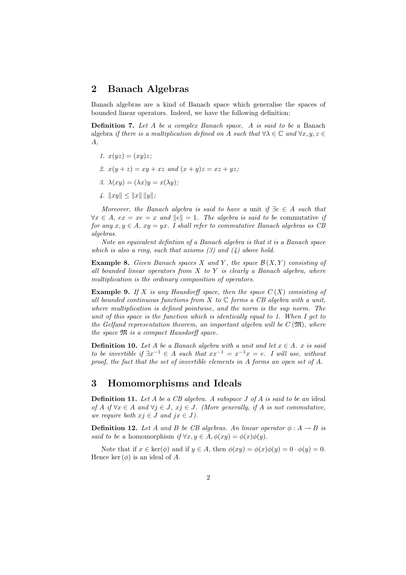#### 2 Banach Algebras

Banach algebras are a kind of Banach space which generalise the spaces of bounded linear operators. Indeed, we have the following definition:

Definition 7. Let A be a complex Banach space. A is said to be a Banach algebra if there is a multiplication defined on A such that  $\forall \lambda \in \mathbb{C}$  and  $\forall x, y, z \in$ A,

- 1.  $x(yz) = (xy)z;$
- 2.  $x(y + z) = xy + xz$  and  $(x + y)z = xz + yz$ ;
- 3.  $\lambda(xy) = (\lambda x)y = x(\lambda y)$ ;
- 4.  $||xy|| \le ||x|| \, ||y||;$

Moreover, the Banach algebra is said to have a unit if  $\exists e \in A$  such that  $\forall x \in A, \text{ } ex = xe = x \text{ and } ||e|| = 1.$  The algebra is said to be commutative if for any  $x, y \in A$ ,  $xy = yx$ . I shall refer to commutative Banach algebras as CB algebras.

Note an equivalent defintion of a Banach algebra is that it is a Banach space which is also a ring, such that axioms  $(3)$  and  $(4)$  above hold.

**Example 8.** Given Banach spaces X and Y, the space  $\mathcal{B}(X, Y)$  consisting of all bounded linear operators from  $X$  to  $Y$  is clearly a Banach algebra, where multiplication is the ordinary composition of operators.

**Example 9.** If X is any Hausdorff space, then the space  $C(X)$  consisting of all bounded continuous functions from X to  $\mathbb C$  forms a CB algebra with a unit, where multiplication is defined pointwise, and the norm is the sup norm. The unit of this space is the function which is identically equal to 1. When I get to the Gelfand representation theorem, an important algebra will be  $C(\mathfrak{M})$ , where the space M is a compact Hausdorff space.

**Definition 10.** Let A be a Banach algebra with a unit and let  $x \in A$ . x is said to be invertible if  $\exists x^{-1} \in A$  such that  $xx^{-1} = x^{-1}x = e$ . I will use, without proof, the fact that the set of invertible elements in A forms an open set of A.

### 3 Homomorphisms and Ideals

**Definition 11.** Let  $A$  be a  $CB$  algebra. A subspace  $J$  of  $A$  is said to be an ideal of A if  $\forall x \in A$  and  $\forall j \in J$ ,  $x_j \in J$ . (More generally, if A is not commutative, we require both  $x_j \in J$  and  $jx \in J$ ).

**Definition 12.** Let A and B be CB algebras. An linear operator  $\phi : A \rightarrow B$  is said to be a homomorphism if  $\forall x, y \in A, \phi(xy) = \phi(x)\phi(y)$ .

Note that if  $x \in \text{ker}(\phi)$  and if  $y \in A$ , then  $\phi(xy) = \phi(x)\phi(y) = 0 \cdot \phi(y) = 0$ . Hence ker  $(\phi)$  is an ideal of A.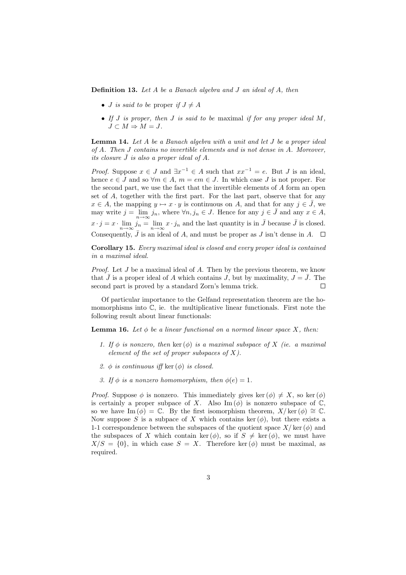Definition 13. Let A be a Banach algebra and J an ideal of A, then

- *J* is said to be proper if  $J \neq A$
- If  $J$  is proper, then  $J$  is said to be maximal if for any proper ideal  $M$ ,  $J \subset M \Rightarrow M = J.$

Lemma 14. Let A be a Banach algebra with a unit and let J be a proper ideal of A. Then J contains no invertible elements and is not dense in A. Moreover, its closure  $\bar{J}$  is also a proper ideal of A.

*Proof.* Suppose  $x \in J$  and  $\exists x^{-1} \in A$  such that  $xx^{-1} = e$ . But J is an ideal, hence  $e \in J$  and so  $\forall m \in A$ ,  $m = em \in J$ . In which case J is not proper. For the second part, we use the fact that the invertible elements of A form an open set of A, together with the first part. For the last part, observe that for any  $x \in A$ , the mapping  $y \mapsto x \cdot y$  is continuous on A, and that for any  $j \in \overline{J}$ , we may write  $j = \lim_{n \to \infty} j_n$ , where  $\forall n, j_n \in J$ . Hence for any  $j \in \bar{J}$  and any  $x \in A$ ,  $x \cdot j = x \cdot \lim_{n \to \infty} j_n = \lim_{n \to \infty} x \cdot j_n$  and the last quantity is in  $\bar{J}$  because  $\bar{J}$  is closed. Consequently,  $\bar{J}$  is an ideal of A, and must be proper as  $J$  isn't dense in A.  $\Box$ 

Corollary 15. Every maximal ideal is closed and every proper ideal is contained in a maximal ideal.

*Proof.* Let  $J$  be a maximal ideal of  $A$ . Then by the previous theorem, we know that  $\bar{J}$  is a proper ideal of A which contains J, but by maximality,  $J = \bar{J}$ . The second part is proved by a standard Zorn's lemma trick.  $\Box$ 

Of particular importance to the Gelfand representation theorem are the homomorphisms into  $\mathbb{C}$ , ie. the multiplicative linear functionals. First note the following result about linear functionals:

**Lemma 16.** Let  $\phi$  be a linear functional on a normed linear space X, then:

- 1. If  $\phi$  is nonzero, then ker  $(\phi)$  is a maximal subspace of X (ie. a maximal element of the set of proper subspaces of  $X$ ).
- 2.  $\phi$  is continuous iff ker  $(\phi)$  is closed.
- 3. If  $\phi$  is a nonzero homomorphism, then  $\phi(e) = 1$ .

*Proof.* Suppose  $\phi$  is nonzero. This immediately gives ker  $(\phi) \neq X$ , so ker  $(\phi)$ is certainly a proper subpace of X. Also Im  $(\phi)$  is nonzero subspace of  $\mathbb C$ . so we have Im  $(\phi) = \mathbb{C}$ . By the first isomorphism theorem,  $X/\text{ker}(\phi) \cong \mathbb{C}$ . Now suppose S is a subpace of X which contains ker  $(\phi)$ , but there exists a 1-1 correspondence between the subspaces of the quotient space  $X/\text{ker}(\phi)$  and the subspaces of X which contain ker  $(\phi)$ , so if  $S \neq \text{ker}(\phi)$ , we must have  $X/S = \{0\}$ , in which case  $S = X$ . Therefore ker  $(\phi)$  must be maximal, as required.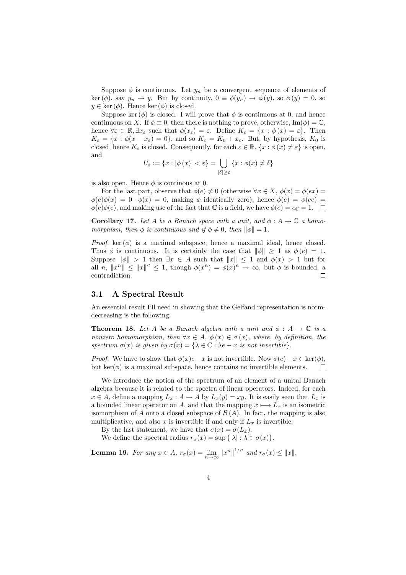Suppose  $\phi$  is continuous. Let  $y_n$  be a convergent sequence of elements of  $\ker (\phi)$ , say  $y_n \to y$ . But by continuity,  $0 \equiv \phi(y_n) \to \phi(y)$ , so  $\phi(y) = 0$ , so  $y \in \text{ker}(\phi)$ . Hence  $\text{ker}(\phi)$  is closed.

Suppose ker  $(\phi)$  is closed. I will prove that  $\phi$  is continuous at 0, and hence continuous on X. If  $\phi \equiv 0$ , then there is nothing to prove, otherwise, Im( $\phi$ ) =  $\mathbb{C}$ , hence  $\forall \varepsilon \in \mathbb{R}, \exists x_{\varepsilon}$  such that  $\phi(x_{\varepsilon}) = \varepsilon$ . Define  $K_{\varepsilon} = \{x : \phi(x) = \varepsilon\}$ . Then  $K_{\varepsilon} = \{x : \phi(x - x_{\varepsilon}) = 0\}$ , and so  $K_{\varepsilon} = K_0 + x_{\varepsilon}$ . But, by hypothesis,  $K_0$  is closed, hence  $K_{\varepsilon}$  is closed. Consequently, for each  $\varepsilon \in \mathbb{R}$ ,  $\{x : \phi(x) \neq \varepsilon\}$  is open, and

$$
U_{\varepsilon} := \{ x : |\phi(x)| < \varepsilon \} = \bigcup_{|\delta| \ge \varepsilon} \{ x : \phi(x) \ne \delta \}
$$

is also open. Hence  $\phi$  is continuous at 0.

For the last part, observe that  $\phi(e) \neq 0$  (otherwise  $\forall x \in X$ ,  $\phi(x) = \phi(ex)$ )  $\phi(e)\phi(x) = 0 \cdot \phi(x) = 0$ , making  $\phi$  identically zero), hence  $\phi(e) = \phi(ee) =$  $\phi(e)\phi(e)$ , and making use of the fact that C is a field, we have  $\phi(e) = e_{\mathbb{C}} = 1$ .  $\Box$ 

**Corollary 17.** Let A be a Banach space with a unit, and  $\phi : A \to \mathbb{C}$  a homomorphism, then  $\phi$  is continuous and if  $\phi \neq 0$ , then  $\|\phi\| = 1$ .

*Proof.* ker  $(\phi)$  is a maximal subspace, hence a maximal ideal, hence closed. Thus  $\phi$  is continuous. It is certainly the case that  $\|\phi\| \geq 1$  as  $\phi(e) = 1$ . Suppose  $\|\phi\| > 1$  then  $\exists x \in A$  such that  $\|x\| \leq 1$  and  $\phi(x) > 1$  but for all n,  $||x^n|| \le ||x||^n \le 1$ , though  $\phi(x^n) = \phi(x)^n \to \infty$ , but  $\phi$  is bounded, a contradiction.  $\Box$ 

#### 3.1 A Spectral Result

An essential result I'll need in showing that the Gelfand representation is normdecreasing is the following:

**Theorem 18.** Let A be a Banach algebra with a unit and  $\phi : A \to \mathbb{C}$  is a nonzero homomorphism, then  $\forall x \in A, \phi(x) \in \sigma(x)$ , where, by definition, the spectrum  $\sigma(x)$  is given by  $\sigma(x) = {\lambda \in \mathbb{C} : \lambda e - x$  is not invertible.

*Proof.* We have to show that  $\phi(x)e-x$  is not invertible. Now  $\phi(e)-x \in \text{ker}(\phi)$ , but  $\ker(\phi)$  is a maximal subspace, hence contains no invertible elements.  $\Box$ 

We introduce the notion of the spectrum of an element of a unital Banach algebra because it is related to the spectra of linear operators. Indeed, for each  $x \in A$ , define a mapping  $L_x : A \to A$  by  $L_x(y) = xy$ . It is easily seen that  $L_x$  is a bounded linear operator on A, and that the mapping  $x \mapsto L_x$  is an isometric isomorphism of A onto a closed subspace of  $\mathcal{B}(A)$ . In fact, the mapping is also multiplicative, and also x is invertible if and only if  $L<sub>x</sub>$  is invertible.

By the last statement, we have that  $\sigma(x) = \sigma(L_x)$ .

We define the spectral radius  $r_{\sigma}(x) = \sup \{|\lambda| : \lambda \in \sigma(x)\}.$ 

**Lemma 19.** For any  $x \in A$ ,  $r_{\sigma}(x) = \lim_{n \to \infty} ||x^n||^{1/n}$  and  $r_{\sigma}(x) \le ||x||$ .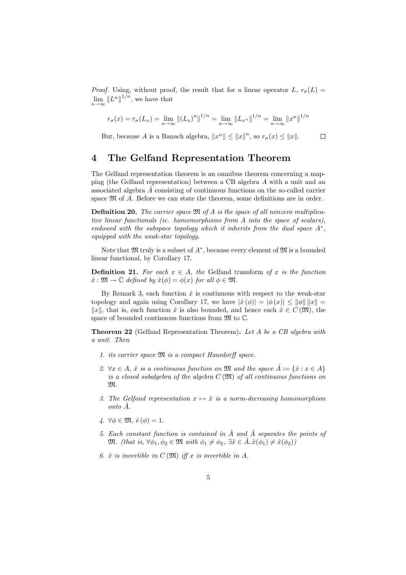*Proof.* Using, without proof, the result that for a linear operator  $L$ ,  $r_{\sigma}(L)$  =  $\lim_{n\to\infty}||L^n||^{1/n}$ , we have that

$$
r_{\sigma}(x) = r_{\sigma}(L_x) = \lim_{n \to \infty} ||(L_x)^n||^{1/n} = \lim_{n \to \infty} ||L_{x^n}||^{1/n} = \lim_{n \to \infty} ||x^n||^{1/n}
$$

But, because A is a Banach algebra,  $||x^n|| \le ||x||^n$ , so  $r_\sigma(x) \le ||x||$ .

 $\Box$ 

#### 4 The Gelfand Representation Theorem

The Gelfand representation theorem is an omnibus theorem concerning a mapping (the Gelfand representation) between a CB algebra A with a unit and an associated algebra  $\hat{A}$  consisting of continuous functions on the so-called carrier space  $\mathfrak{M}$  of A. Before we can state the theorem, some definitions are in order.

**Definition 20.** The carrier space  $\mathfrak{M}$  of A is the space of all nonzero multiplicative linear functionals (ie. homomorphisms from A into the space of scalars), endowed with the subspace topology which it inherits from the dual space  $A^*$ , equipped with the weak-star topology.

Note that  $\mathfrak{M}$  truly is a subset of  $A^*$ , because every element of  $\mathfrak{M}$  is a bounded linear functional, by Corollary 17.

**Definition 21.** For each  $x \in A$ , the Gelfand transform of x is the function  $\hat{x}: \mathfrak{M} \to \mathbb{C}$  defined by  $\hat{x}(\phi) = \phi(x)$  for all  $\phi \in \mathfrak{M}$ .

By Remark 3, each function  $\hat{x}$  is continuous with respect to the weak-star topology and again using Corollary 17, we have  $|\hat{x}(\phi)| = |\phi(x)| \le ||\phi|| \, ||x||$  $||x||$ , that is, each function  $\hat{x}$  is also bounded, and hence each  $\hat{x} \in C(\mathfrak{M})$ , the space of bounded continuous functions from  $\mathfrak{M}$  to  $\mathbb{C}$ .

Theorem 22 (Gelfand Representation Theorem). Let A be a CB algebra with a unit. Then

- 1. its carrier space M is a compact Hausdorff space.
- 2.  $\forall x \in A$ ,  $\hat{x}$  is a continuous function on  $\mathfrak{M}$  and the space  $\hat{A} := \{\hat{x} : x \in A\}$ is a closed subalgebra of the algebra  $C(\mathfrak{M})$  of all continuous functions on M.
- 3. The Gelfand representation  $x \mapsto \hat{x}$  is a norm-decreasing homomorphism onto Aˆ.
- 4.  $\forall \phi \in \mathfrak{M}, \hat{e}(\phi) = 1.$
- 5. Each constant function is contained in  $\hat{A}$  and  $\hat{A}$  separates the points of  $\mathfrak{M}.$  (that is,  $\forall \phi_1, \phi_2 \in \mathfrak{M}$  with  $\phi_1 \neq \phi_2$ ,  $\exists \hat{x} \in \hat{A}, \hat{x}(\phi_1) \neq \hat{x}(\phi_2)$ )
- 6.  $\hat{x}$  is invertible in  $C(\mathfrak{M})$  iff x is invertible in A.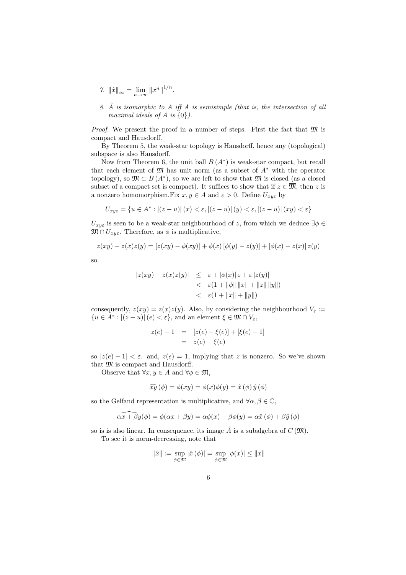- 7.  $\|\hat{x}\|_{\infty} = \lim_{n \to \infty} \|x^n\|^{1/n}$ .
- 8.  $\hat{A}$  is isomorphic to A iff A is semisimple (that is, the intersection of all maximal ideals of A is  $\{0\}$ .

*Proof.* We present the proof in a number of steps. First the fact that  $\mathfrak{M}$  is compact and Hausdorff.

By Theorem 5, the weak-star topology is Hausdorff, hence any (topological) subspace is also Hausdorff.

Now from Theorem 6, the unit ball  $B(A^*)$  is weak-star compact, but recall that each element of  $\mathfrak{M}$  has unit norm (as a subset of  $A^*$  with the operator topology), so  $\mathfrak{M} \subset B(A^*)$ , so we are left to show that  $\mathfrak{M}$  is closed (as a closed subset of a compact set is compact). It suffices to show that if  $z \in \overline{\mathfrak{M}}$ , then z is a nonzero homomorphism.Fix  $x, y \in A$  and  $\varepsilon > 0$ . Define  $U_{xyz}$  by

$$
U_{x y \varepsilon}=\left\{u\in A^*: \left|(z-u)\right|(x)<\varepsilon, \left|(z-u)\right|(y)<\varepsilon, \left|(z-u)\right|(xy)<\varepsilon\right\}
$$

 $U_{xye}$  is seen to be a weak-star neighbourhood of z, from which we deduce  $\exists \phi \in$  $\mathfrak{M} \cap U_{xy\varepsilon}$ . Therefore, as  $\phi$  is multiplicative,

$$
z(xy) - z(x)z(y) = [z(xy) - \phi(xy)] + \phi(x)[\phi(y) - z(y)] + [\phi(x) - z(x)]z(y)
$$

so

$$
|z(xy) - z(x)z(y)| \leq \varepsilon + |\phi(x)|\varepsilon + \varepsilon |z(y)|
$$
  

$$
< \varepsilon (1 + ||\phi|| ||x|| + ||z|| ||y||)
$$
  

$$
< \varepsilon (1 + ||x|| + ||y||)
$$

consequently,  $z(xy) = z(x)z(y)$ . Also, by considering the neighbourhood  $V_{\varepsilon}$ :  ${u \in A^* : |(z - u)| (e) < \varepsilon},$  and an element  $\xi \in \mathfrak{M} \cap V_{\varepsilon}$ ,

$$
z(e) - 1 = [z(e) - \xi(e)] + [\xi(e) - 1]
$$
  
=  $z(e) - \xi(e)$ 

so  $|z(e) - 1| < \varepsilon$ . and,  $z(e) = 1$ , implying that z is nonzero. So we've shown that  $\mathfrak M$  is compact and Hausdorff.

Observe that  $\forall x, y \in A$  and  $\forall \phi \in \mathfrak{M}$ ,

$$
\widehat{xy}(\phi) = \phi(xy) = \phi(x)\phi(y) = \hat{x}(\phi)\hat{y}(\phi)
$$

so the Gelfand representation is multiplicative, and  $\forall \alpha, \beta \in \mathbb{C}$ ,

$$
\widehat{\alpha x + \beta y}(\phi) = \phi(\alpha x + \beta y) = \alpha \phi(x) + \beta \phi(y) = \alpha \hat{x}(\phi) + \beta \hat{y}(\phi)
$$

so is is also linear. In consequence, its image  $\hat{A}$  is a subalgebra of  $C(\mathfrak{M})$ . To see it is norm-decreasing, note that

$$
\|\hat{x}\| := \sup_{\phi \in \mathfrak{M}} |\hat{x}(\phi)| = \sup_{\phi \in \mathfrak{M}} |\phi(x)| \leq \|x\|
$$